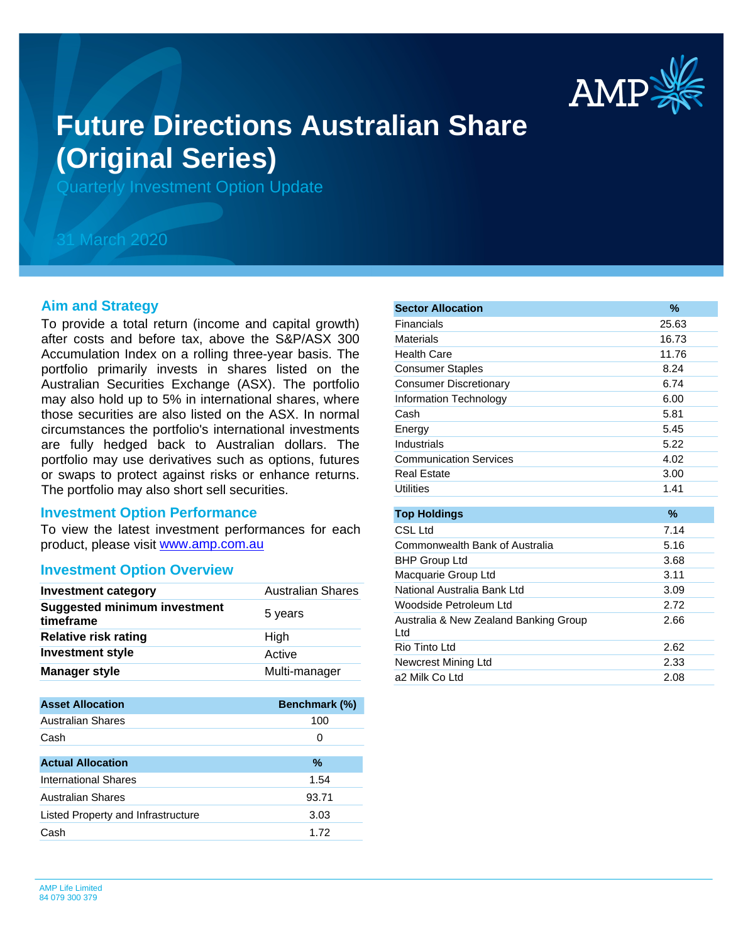

# **Future Directions Australian Share (Original Series)**

Quarterly Investment Option Update

## 31 March 2020

#### **Aim and Strategy**

To provide a total return (income and capital growth) after costs and before tax, above the S&P/ASX 300 Accumulation Index on a rolling three-year basis. The portfolio primarily invests in shares listed on the Australian Securities Exchange (ASX). The portfolio may also hold up to 5% in international shares, where those securities are also listed on the ASX. In normal circumstances the portfolio's international investments are fully hedged back to Australian dollars. The portfolio may use derivatives such as options, futures or swaps to protect against risks or enhance returns. The portfolio may also short sell securities.

#### **Investment Option Performance**

product, please visit [www.amp.com.au](https://www.amp.com.au) To view the latest investment performances for each

#### **Investment Option Overview**

| <b>Investment category</b>                       | <b>Australian Shares</b> |
|--------------------------------------------------|--------------------------|
| <b>Suggested minimum investment</b><br>timeframe | 5 years                  |
| <b>Relative risk rating</b>                      | High                     |
| <b>Investment style</b>                          | Active                   |
| <b>Manager style</b>                             | Multi-manager            |

| <b>Asset Allocation</b>            | Benchmark (%) |
|------------------------------------|---------------|
| Australian Shares                  | 100           |
| Cash                               | 0             |
|                                    |               |
| <b>Actual Allocation</b>           | %             |
| International Shares               | 1.54          |
| Australian Shares                  | 93.71         |
| Listed Property and Infrastructure | 3.03          |
| Cash                               | 1.72          |

| <b>Sector Allocation</b>                     | $\%$  |
|----------------------------------------------|-------|
| Financials                                   | 25.63 |
| <b>Materials</b>                             | 16.73 |
| <b>Health Care</b>                           | 11.76 |
| <b>Consumer Staples</b>                      | 8.24  |
| <b>Consumer Discretionary</b>                | 6.74  |
| Information Technology                       | 6.00  |
| Cash                                         | 5.81  |
| Energy                                       | 5.45  |
| Industrials                                  | 5.22  |
| <b>Communication Services</b>                | 4.02  |
| <b>Real Estate</b>                           | 3.00  |
| <b>Utilities</b>                             | 1.41  |
|                                              |       |
| <b>Top Holdings</b>                          | $\%$  |
| CSL Ltd                                      | 7.14  |
| Commonwealth Bank of Australia               | 5.16  |
| <b>BHP Group Ltd</b>                         | 3.68  |
| Macquarie Group Ltd                          | 3.11  |
| National Australia Bank Ltd                  | 3.09  |
| Woodside Petroleum Ltd                       | 2.72  |
| Australia & New Zealand Banking Group<br>Ltd | 2.66  |
| Rio Tinto Ltd                                | 2.62  |
| Newcrest Mining Ltd                          | 2.33  |
| a2 Milk Co Ltd                               | 2.08  |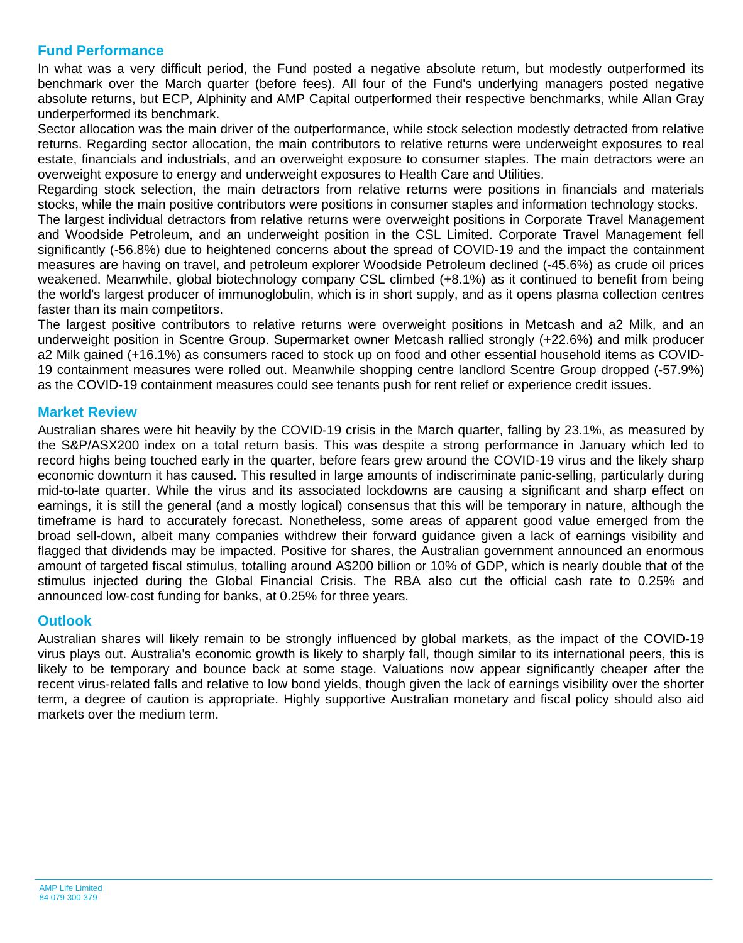### **Fund Performance**

In what was a very difficult period, the Fund posted a negative absolute return, but modestly outperformed its benchmark over the March quarter (before fees). All four of the Fund's underlying managers posted negative absolute returns, but ECP, Alphinity and AMP Capital outperformed their respective benchmarks, while Allan Gray underperformed its benchmark.

Sector allocation was the main driver of the outperformance, while stock selection modestly detracted from relative returns. Regarding sector allocation, the main contributors to relative returns were underweight exposures to real estate, financials and industrials, and an overweight exposure to consumer staples. The main detractors were an overweight exposure to energy and underweight exposures to Health Care and Utilities.

Regarding stock selection, the main detractors from relative returns were positions in financials and materials stocks, while the main positive contributors were positions in consumer staples and information technology stocks.

The largest individual detractors from relative returns were overweight positions in Corporate Travel Management and Woodside Petroleum, and an underweight position in the CSL Limited. Corporate Travel Management fell significantly (-56.8%) due to heightened concerns about the spread of COVID-19 and the impact the containment measures are having on travel, and petroleum explorer Woodside Petroleum declined (-45.6%) as crude oil prices weakened. Meanwhile, global biotechnology company CSL climbed (+8.1%) as it continued to benefit from being the world's largest producer of immunoglobulin, which is in short supply, and as it opens plasma collection centres faster than its main competitors.

The largest positive contributors to relative returns were overweight positions in Metcash and a2 Milk, and an underweight position in Scentre Group. Supermarket owner Metcash rallied strongly (+22.6%) and milk producer a2 Milk gained (+16.1%) as consumers raced to stock up on food and other essential household items as COVID-19 containment measures were rolled out. Meanwhile shopping centre landlord Scentre Group dropped (-57.9%) as the COVID-19 containment measures could see tenants push for rent relief or experience credit issues.

#### **Market Review**

Australian shares were hit heavily by the COVID-19 crisis in the March quarter, falling by 23.1%, as measured by the S&P/ASX200 index on a total return basis. This was despite a strong performance in January which led to record highs being touched early in the quarter, before fears grew around the COVID-19 virus and the likely sharp economic downturn it has caused. This resulted in large amounts of indiscriminate panic-selling, particularly during mid-to-late quarter. While the virus and its associated lockdowns are causing a significant and sharp effect on earnings, it is still the general (and a mostly logical) consensus that this will be temporary in nature, although the timeframe is hard to accurately forecast. Nonetheless, some areas of apparent good value emerged from the broad sell-down, albeit many companies withdrew their forward guidance given a lack of earnings visibility and flagged that dividends may be impacted. Positive for shares, the Australian government announced an enormous amount of targeted fiscal stimulus, totalling around A\$200 billion or 10% of GDP, which is nearly double that of the stimulus injected during the Global Financial Crisis. The RBA also cut the official cash rate to 0.25% and announced low-cost funding for banks, at 0.25% for three years.

#### **Outlook**

Australian shares will likely remain to be strongly influenced by global markets, as the impact of the COVID-19 virus plays out. Australia's economic growth is likely to sharply fall, though similar to its international peers, this is likely to be temporary and bounce back at some stage. Valuations now appear significantly cheaper after the recent virus-related falls and relative to low bond yields, though given the lack of earnings visibility over the shorter term, a degree of caution is appropriate. Highly supportive Australian monetary and fiscal policy should also aid markets over the medium term.